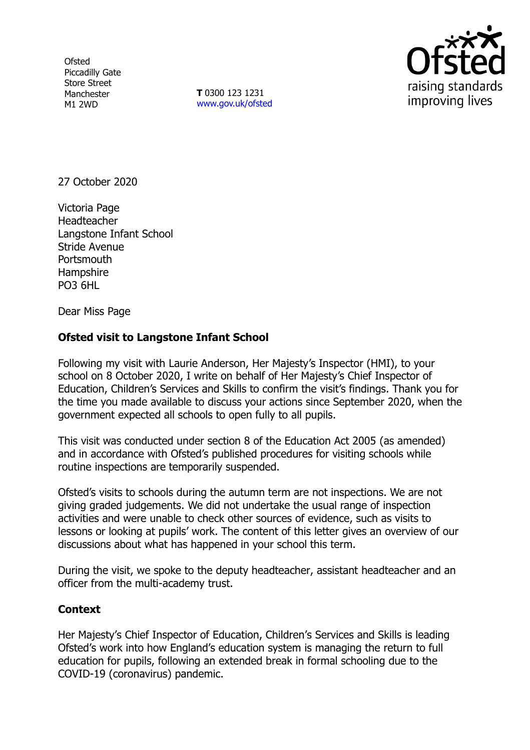**Ofsted** Piccadilly Gate Store Street Manchester M1 2WD

**T** 0300 123 1231 [www.gov.uk/ofsted](http://www.gov.uk/ofsted)



27 October 2020

Victoria Page **Headteacher** Langstone Infant School Stride Avenue **Portsmouth Hampshire** PO3 6HL

Dear Miss Page

## **Ofsted visit to Langstone Infant School**

Following my visit with Laurie Anderson, Her Majesty's Inspector (HMI), to your school on 8 October 2020, I write on behalf of Her Majesty's Chief Inspector of Education, Children's Services and Skills to confirm the visit's findings. Thank you for the time you made available to discuss your actions since September 2020, when the government expected all schools to open fully to all pupils.

This visit was conducted under section 8 of the Education Act 2005 (as amended) and in accordance with Ofsted's published procedures for visiting schools while routine inspections are temporarily suspended.

Ofsted's visits to schools during the autumn term are not inspections. We are not giving graded judgements. We did not undertake the usual range of inspection activities and were unable to check other sources of evidence, such as visits to lessons or looking at pupils' work. The content of this letter gives an overview of our discussions about what has happened in your school this term.

During the visit, we spoke to the deputy headteacher, assistant headteacher and an officer from the multi-academy trust.

## **Context**

Her Majesty's Chief Inspector of Education, Children's Services and Skills is leading Ofsted's work into how England's education system is managing the return to full education for pupils, following an extended break in formal schooling due to the COVID-19 (coronavirus) pandemic.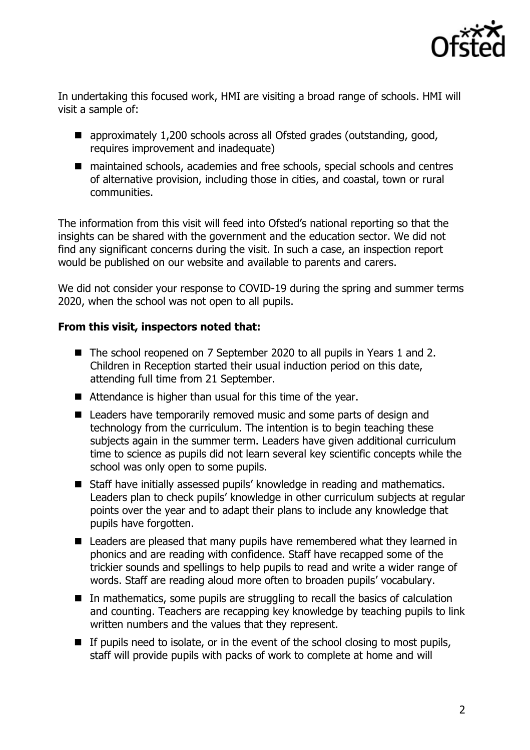

In undertaking this focused work, HMI are visiting a broad range of schools. HMI will visit a sample of:

- approximately 1,200 schools across all Ofsted grades (outstanding, good, requires improvement and inadequate)
- maintained schools, academies and free schools, special schools and centres of alternative provision, including those in cities, and coastal, town or rural communities.

The information from this visit will feed into Ofsted's national reporting so that the insights can be shared with the government and the education sector. We did not find any significant concerns during the visit. In such a case, an inspection report would be published on our website and available to parents and carers.

We did not consider your response to COVID-19 during the spring and summer terms 2020, when the school was not open to all pupils.

## **From this visit, inspectors noted that:**

- The school reopened on 7 September 2020 to all pupils in Years 1 and 2. Children in Reception started their usual induction period on this date, attending full time from 21 September.
- Attendance is higher than usual for this time of the year.
- Leaders have temporarily removed music and some parts of design and technology from the curriculum. The intention is to begin teaching these subjects again in the summer term. Leaders have given additional curriculum time to science as pupils did not learn several key scientific concepts while the school was only open to some pupils.
- Staff have initially assessed pupils' knowledge in reading and mathematics. Leaders plan to check pupils' knowledge in other curriculum subjects at regular points over the year and to adapt their plans to include any knowledge that pupils have forgotten.
- Leaders are pleased that many pupils have remembered what they learned in phonics and are reading with confidence. Staff have recapped some of the trickier sounds and spellings to help pupils to read and write a wider range of words. Staff are reading aloud more often to broaden pupils' vocabulary.
- In mathematics, some pupils are struggling to recall the basics of calculation and counting. Teachers are recapping key knowledge by teaching pupils to link written numbers and the values that they represent.
- $\blacksquare$  If pupils need to isolate, or in the event of the school closing to most pupils, staff will provide pupils with packs of work to complete at home and will